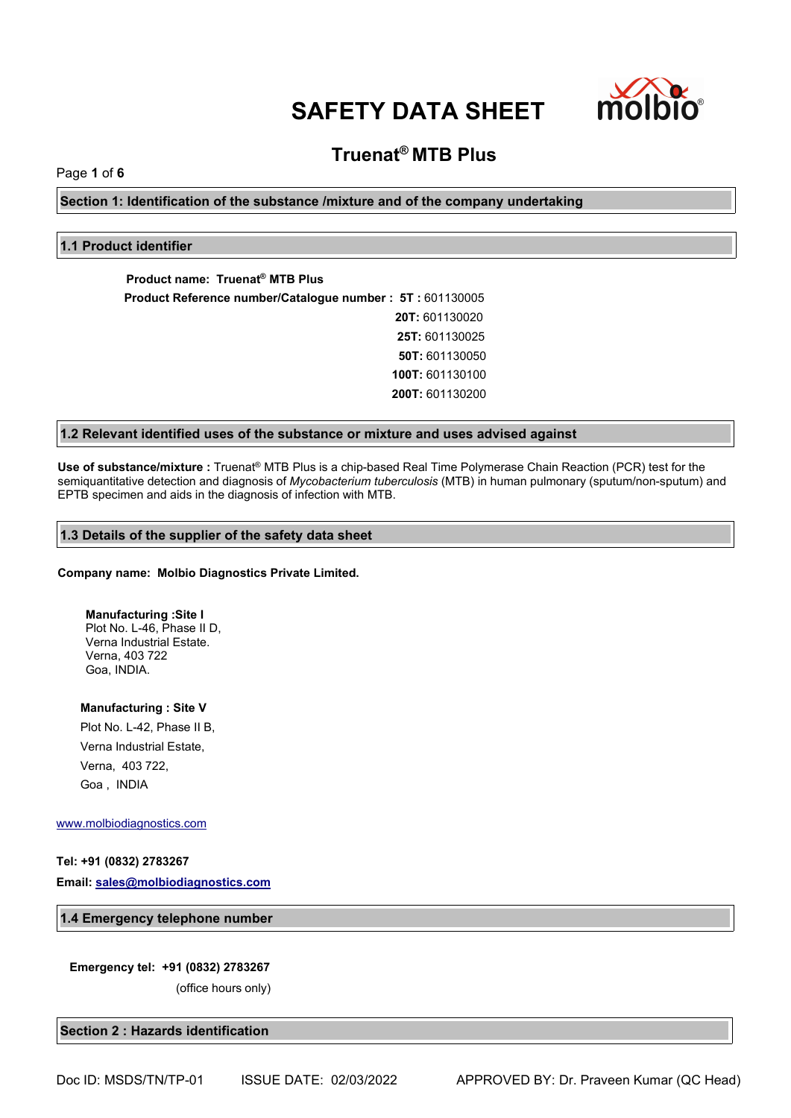

# **Truenat® MTB Plus**

Page **1** of **6**

**Section 1: Identification of the substance /mixture and of the company undertaking**

# **1.1 Product identifier**

**Product name: Truenat® MTB Plus Product Reference number/Catalogue number : 5T :** 601130005 **20T:** 601130020 **25T:** 601130025 **50T:** 601130050 **100T:** 601130100 **200T:** 601130200

# **1.2 Relevant identified uses of the substance or mixture and uses advised against**

**Use of substance/mixture :** Truenat® MTB Plus isa chip-based Real Time Polymerase Chain Reaction (PCR) test for the semiquantitative detection and diagnosis of *Mycobacterium tuberculosis* (MTB) in human pulmonary (sputum/non-sputum) and EPTB specimen and aids in the diagnosis of infection with MTB.

# **1.3 Details of the supplier of the safety data sheet**

#### **Company name: Molbio Diagnostics Private Limited.**

**Manufacturing :Site I** Plot No. L-46, Phase II D, Verna Industrial Estate. Verna, 403 722 Goa, INDIA.

**Manufacturing : Site V** Plot No. L-42, Phase II B, Verna Industrial Estate, Verna, 403 722, Goa , INDIA

#### [www.molbiodiagnostics.com](http://www.molbiodiagnostics.com)

# **Tel: +91 (0832) 2783267**

**Email: [sales@molbiodiagnostics.com](mailto:sales@molbiodiagnostics.com)**

#### **1.4 Emergency telephone number**

#### **Emergency tel: +91 (0832) 2783267**

(office hours only)

#### **Section 2 : Hazards identification**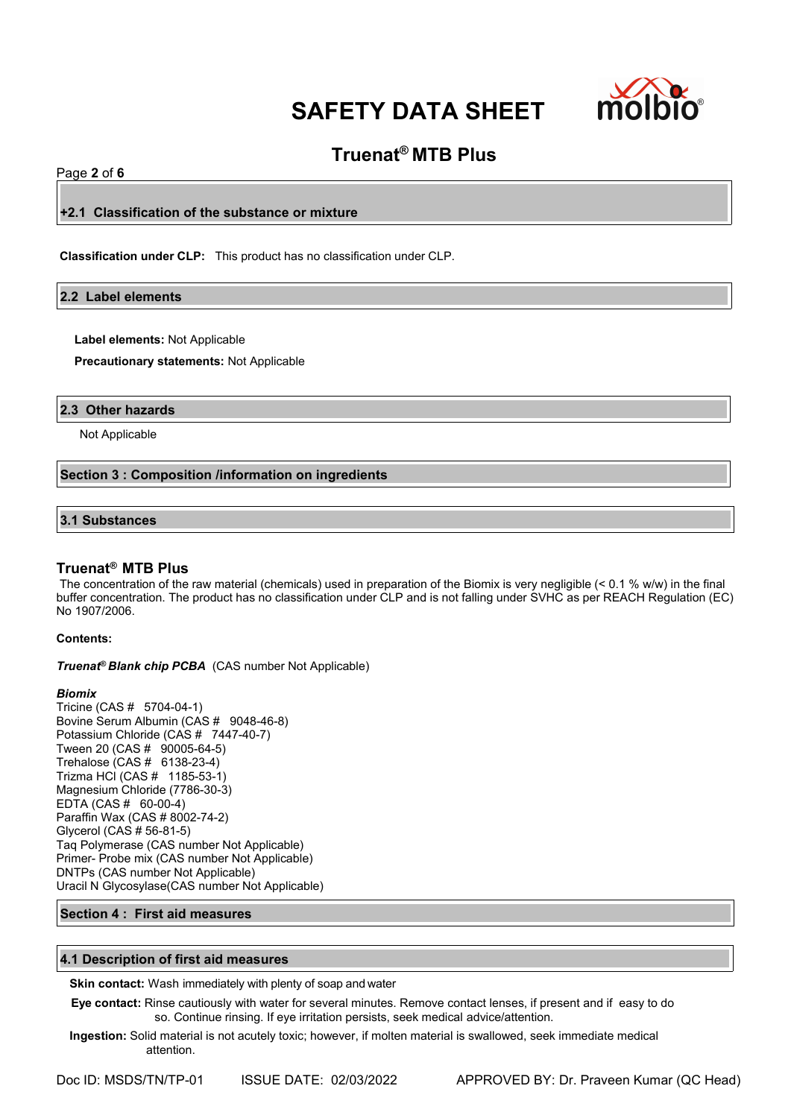

# **Truenat® MTB Plus**

# Page **2** of **6**

**+2.1 Classification of the substance or mixture**

**Classification under CLP:** This product has no classification under CLP.

# **2.2 Label elements**

**Label elements:** Not Applicable

**Precautionary statements:** Not Applicable

#### **2.3 Other hazards**

Not Applicable

# **Section 3 : Composition /information on ingredients**

# **3.1 Substances**

# **Truenat® MTB Plus**

The concentration of the raw material (chemicals) used in preparation of the Biomix is very negligible (< 0.1 % w/w) in the final buffer concentration. The product has no classification under CLP and is not falling under SVHC as per REACH Regulation (EC) No 1907/2006.

# **Contents:**

*Truenat<sup>®</sup> Blank chip PCBA* (CAS number Not Applicable)

#### *Biomix*

Tricine (CAS # 5704-04-1) Bovine Serum Albumin (CAS # 9048-46-8) Potassium Chloride (CAS # 7447-40-7) Tween 20 (CAS # 90005-64-5) Trehalose (CAS # 6138-23-4) Trizma HCl (CAS # 1185-53-1) Magnesium Chloride (7786-30-3) EDTA (CAS # 60-00-4) Paraffin Wax (CAS # 8002-74-2) Glycerol (CAS # 56-81-5) Taq Polymerase (CAS number Not Applicable) Primer- Probe mix (CAS number Not Applicable) DNTPs (CAS number Not Applicable) Uracil N Glycosylase(CAS number Not Applicable)

# **Section 4 : First aid measures**

# **4.1 Description of first aid measures**

**Skin contact:** Wash immediately with plenty of soap and water

**Eye contact:** Rinse cautiously with water for several minutes. Remove contact lenses, if present and if easy to do so. Continue rinsing. If eye irritation persists, seek medical advice/attention.

**Ingestion:** Solid material is not acutely toxic; however, if molten material is swallowed, seek immediate medical attention.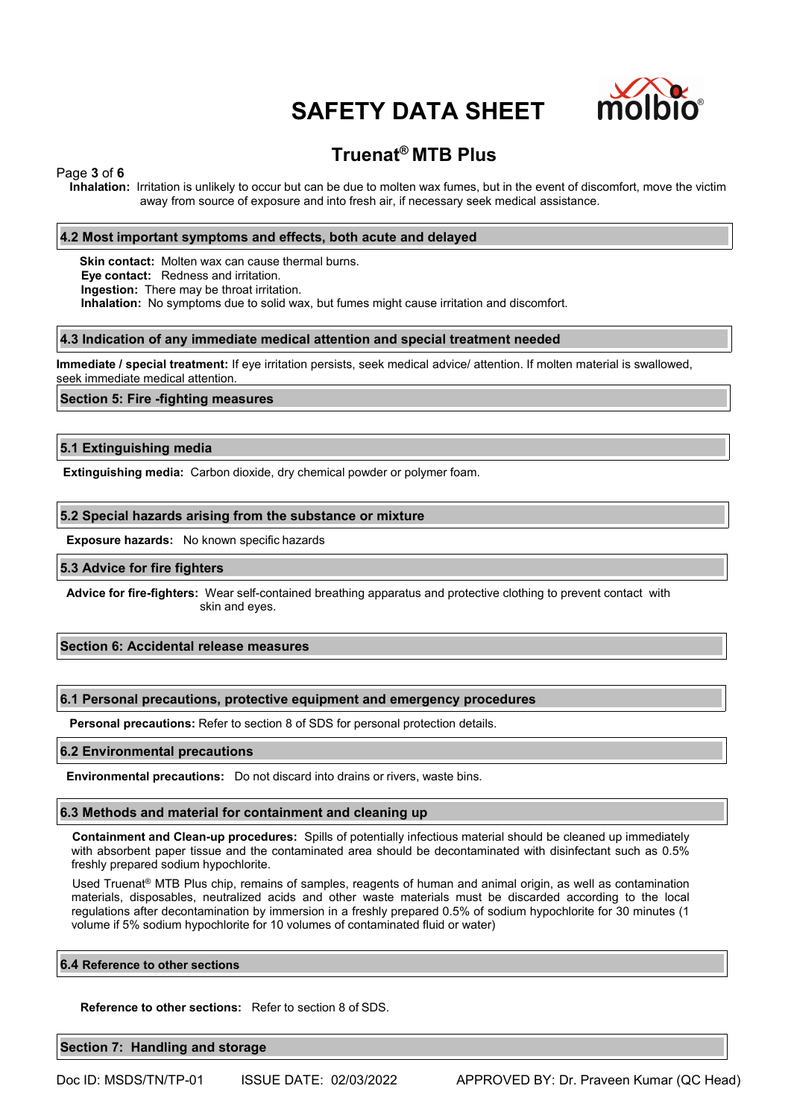

# **Truenat® MTB Plus**

### Page **3** of **6**

**Inhalation:** Irritation is unlikely to occur but can be due to molten wax fumes, but in the event of discomfort, move the victim away from source of exposure and into fresh air, if necessary seek medical assistance.

### **4.2 Most important symptoms and effects, both acute and delayed**

**Skin contact:** Molten wax can cause thermal burns. **Eye contact:** Redness and irritation. **Ingestion:** There may be throat irritation. **Inhalation:** No symptoms due to solid wax, but fumes might cause irritation and discomfort.

#### **4.3 Indication of any immediate medical attention and special treatment needed**

**Immediate / special treatment:** If eye irritation persists, seek medical advice/ attention. If molten material is swallowed, seek immediate medical attention.

#### **Section 5: Fire -fighting measures**

#### **5.1 Extinguishing media**

**Extinguishing media:** Carbon dioxide, dry chemical powder or polymer foam.

#### **5.2 Special hazards arising from the substance or mixture**

**Exposure hazards:** No known specific hazards

#### **5.3 Advice for fire fighters**

**Advice for fire-fighters:** Wear self-contained breathing apparatus and protective clothing to prevent contact with skin and eyes.

# **Section 6: Accidental release measures**

#### **6.1 Personal precautions, protective equipment and emergency procedures**

**Personal precautions:** Refer to section 8 of SDS for personal protection details.

#### **6.2 Environmental precautions**

**Environmental precautions:** Do not discard into drains or rivers, waste bins.

### **6.3 Methods and material for containment and cleaning up**

**Containment and Clean-up procedures:** Spills of potentially infectious material should be cleaned up immediately with absorbent paper tissue and the contaminated area should be decontaminated with disinfectant such as 0.5% freshly prepared sodium hypochlorite.

Used Truenat® MTB Plus chip, remains of samples, reagents of human and animal origin, as well as contamination materials, disposables, neutralized acids and other waste materials must be discarded according to the local regulations after decontamination by immersion in a freshly prepared 0.5% of sodium hypochlorite for 30 minutes (1 volume if 5% sodium hypochlorite for 10 volumes of contaminated fluid or water)

#### **6.4 Reference to other sections**

**Reference to other sections:** Refer to section 8 of SDS.

**Section 7: Handling and storage**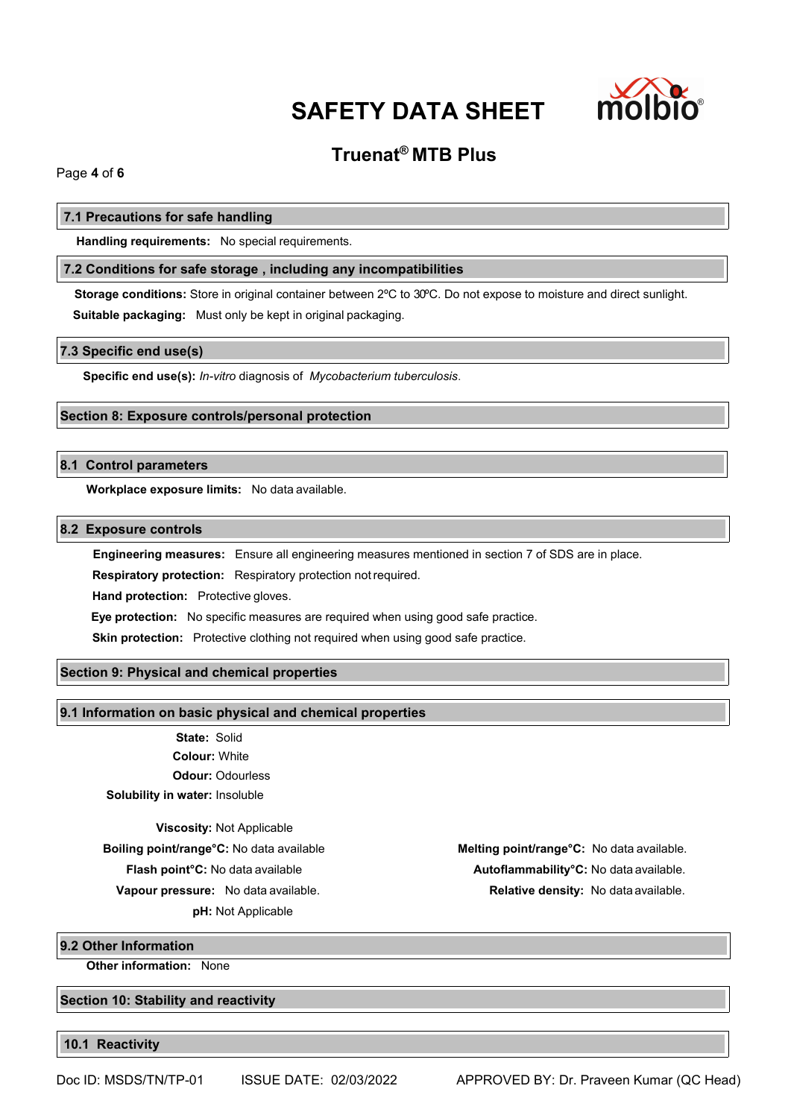

# **Truenat® MTB Plus**

Page **4** of **6**

### **7.1 Precautions for safe handling**

**Handling requirements:** No special requirements.

# **7.2 Conditions for safe storage , including any incompatibilities**

**Storage conditions:** Store in original container between 2ºC to 30ºC. Do not expose to moisture and direct sunlight. **Suitable packaging:** Must only be kept in original packaging.

#### **7.3 Specific end use(s)**

**Specific end use(s):** *In-vitro* diagnosis of *Mycobacterium tuberculosis*.

# **Section 8: Exposure controls/personal protection**

# **8.1 Control parameters**

**Workplace exposure limits:** No data available.

# **8.2 Exposure controls**

**Engineering measures:** Ensure all engineering measures mentioned in section 7 of SDS are in place.

**Respiratory protection:** Respiratory protection notrequired.

**Hand protection:** Protective gloves.

**Eye protection:** No specific measures are required when using good safe practice.

**Skin protection:** Protective clothing not required when using good safe practice.

# **Section 9: Physical and chemical properties**

#### **9.1 Information on basic physical and chemical properties**

**State:** Solid **Colour:** White **Odour:** Odourless **Solubility in water:** Insoluble

**Viscosity:** Not Applicable

**pH:** Not Applicable

**Boiling point/range°C:** No data available **Melting point/range°C:** No data available. **Flash point°C:** No data available **Autoflammability°C:** No data available. **Vapour pressure:** No data available. **Relative density:** No data available.

**9.2 Other Information**

**Other information:** None

**Section 10: Stability and reactivity**

**10.1 Reactivity**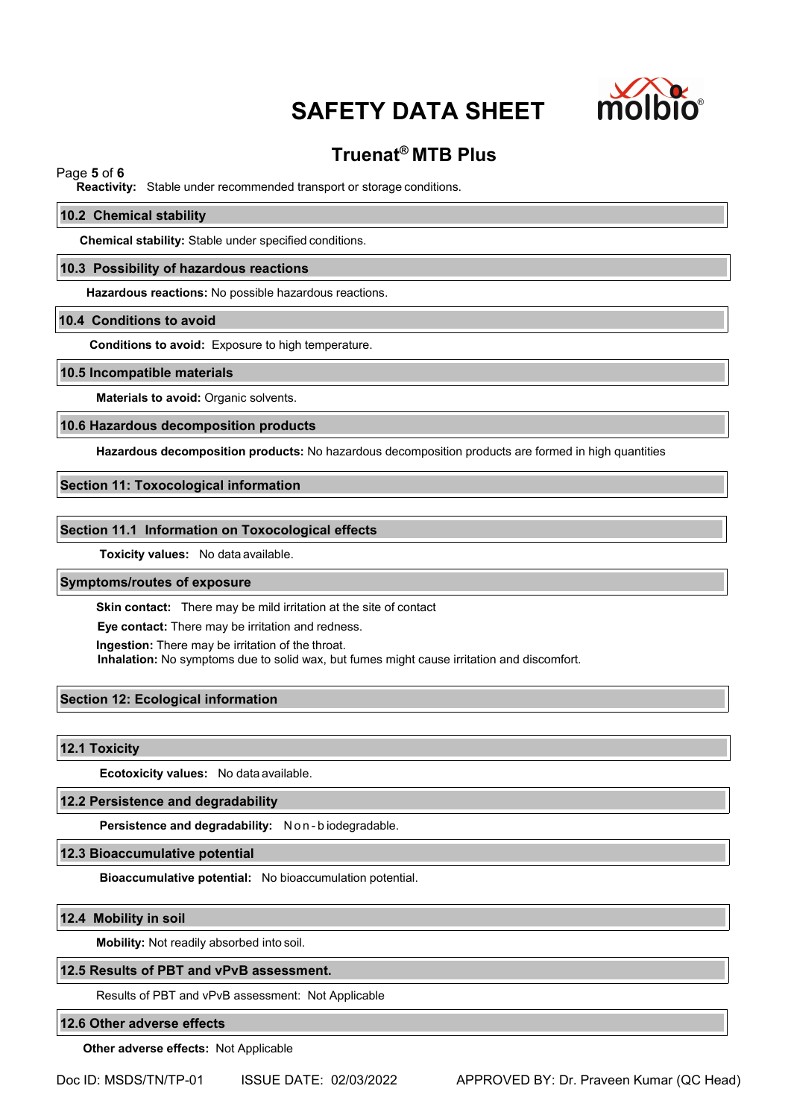

# **Truenat® MTB Plus**

# Page **5** of **6**

**Reactivity:** Stable under recommended transport or storage conditions.

#### **10.2 Chemical stability**

**Chemical stability:** Stable under specified conditions.

#### **10.3 Possibility of hazardous reactions**

**Hazardous reactions:** No possible hazardous reactions.

#### **10.4 Conditions to avoid**

**Conditions to avoid:** Exposure to high temperature.

#### **10.5 Incompatible materials**

**Materials to avoid:** Organic solvents.

#### **10.6 Hazardous decomposition products**

**Hazardous decomposition products:** No hazardous decomposition products are formed in high quantities

# **Section 11: Toxocological information**

#### **Section 11.1 Information on Toxocological effects**

**Toxicity values:** No data available.

# **Symptoms/routes of exposure**

**Skin contact:** There may be mild irritation at the site of contact

**Eye contact:** There may be irritation and redness.

**Ingestion:** There may be irritation of the throat.

**Inhalation:** No symptoms due to solid wax, but fumes might cause irritation and discomfort.

# **Section 12: Ecological information**

**12.1 Toxicity**

**Ecotoxicity values:** No data available.

#### **12.2 Persistence and degradability**

**Persistence and degradability:** N o n - b iodegradable.

**12.3 Bioaccumulative potential**

**Bioaccumulative potential:** No bioaccumulation potential.

#### **12.4 Mobility in soil**

**Mobility:** Not readily absorbed into soil.

#### **12.5 Results of PBT and vPvB assessment.**

Results of PBT and vPvB assessment: Not Applicable

# **12.6 Other adverse effects**

**Other adverse effects:** Not Applicable